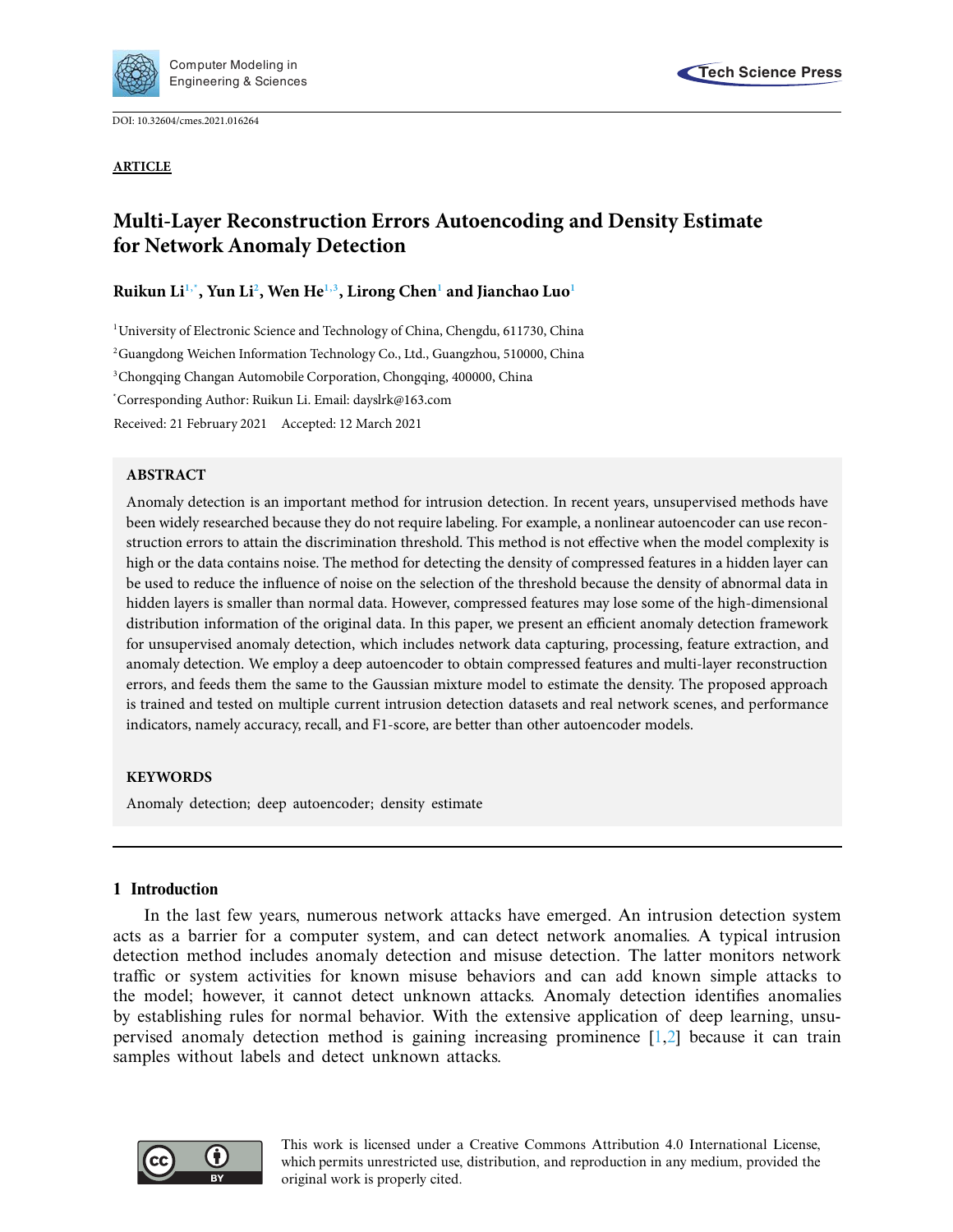

DOI: [10.32604/cmes.2021.016264](http://dx.doi.org/10.32604/cmes.2021.016264)



## **ARTICLE**

# **Multi-Layer Reconstruction Errors Autoencoding and Density Estimate for Network Anomaly Detection**

# **Ruikun L[i1,](#page-0-0)[\\*,](#page-0-1) Yun L[i2](#page-0-2) , Wen H[e1](#page-0-0)[,3,](#page-0-3) Lirong Che[n1](#page-0-0) and Jianchao Lu[o1](#page-0-0)**

<span id="page-0-0"></span><sup>1</sup>University of Electronic Science and Technology of China, Chengdu, 611730, China

<span id="page-0-2"></span>2 Guangdong Weichen Information Technology Co., Ltd., Guangzhou, 510000, China

<span id="page-0-3"></span>3 Chongqing Changan Automobile Corporation, Chongqing, 400000, China

<span id="page-0-1"></span>\* Corresponding Author: Ruikun Li. Email: dayslrk@163.com

Received: 21 February 2021 Accepted: 12 March 2021

# **ABSTRACT**

Anomaly detection is an important method for intrusion detection. In recent years, unsupervised methods have been widely researched because they do not require labeling. For example, a nonlinear autoencoder can use reconstruction errors to attain the discrimination threshold. This method is not effective when the model complexity is high or the data contains noise. The method for detecting the density of compressed features in a hidden layer can be used to reduce the influence of noise on the selection of the threshold because the density of abnormal data in hidden layers is smaller than normal data. However, compressed features may lose some of the high-dimensional distribution information of the original data. In this paper, we present an efficient anomaly detection framework for unsupervised anomaly detection, which includes network data capturing, processing, feature extraction, and anomaly detection. We employ a deep autoencoder to obtain compressed features and multi-layer reconstruction errors, and feeds them the same to the Gaussian mixture model to estimate the density. The proposed approach is trained and tested on multiple current intrusion detection datasets and real network scenes, and performance indicators, namely accuracy, recall, and F1-score, are better than other autoencoder models.

# **KEYWORDS**

Anomaly detection; deep autoencoder; density estimate

# **1 Introduction**

In the last few years, numerous network attacks have emerged. An intrusion detection system acts as a barrier for a computer system, and can detect network anomalies. A typical intrusion detection method includes anomaly detection and misuse detection. The latter monitors network traffic or system activities for known misuse behaviors and can add known simple attacks to the model; however, it cannot detect unknown attacks. Anomaly detection identifies anomalies by establishing rules for normal behavior. With the extensive application of deep learning, unsupervised anomaly detection method is gaining increasing prominence [\[1,](#page-15-0)[2\]](#page-15-1) because it can train samples without labels and detect unknown attacks.

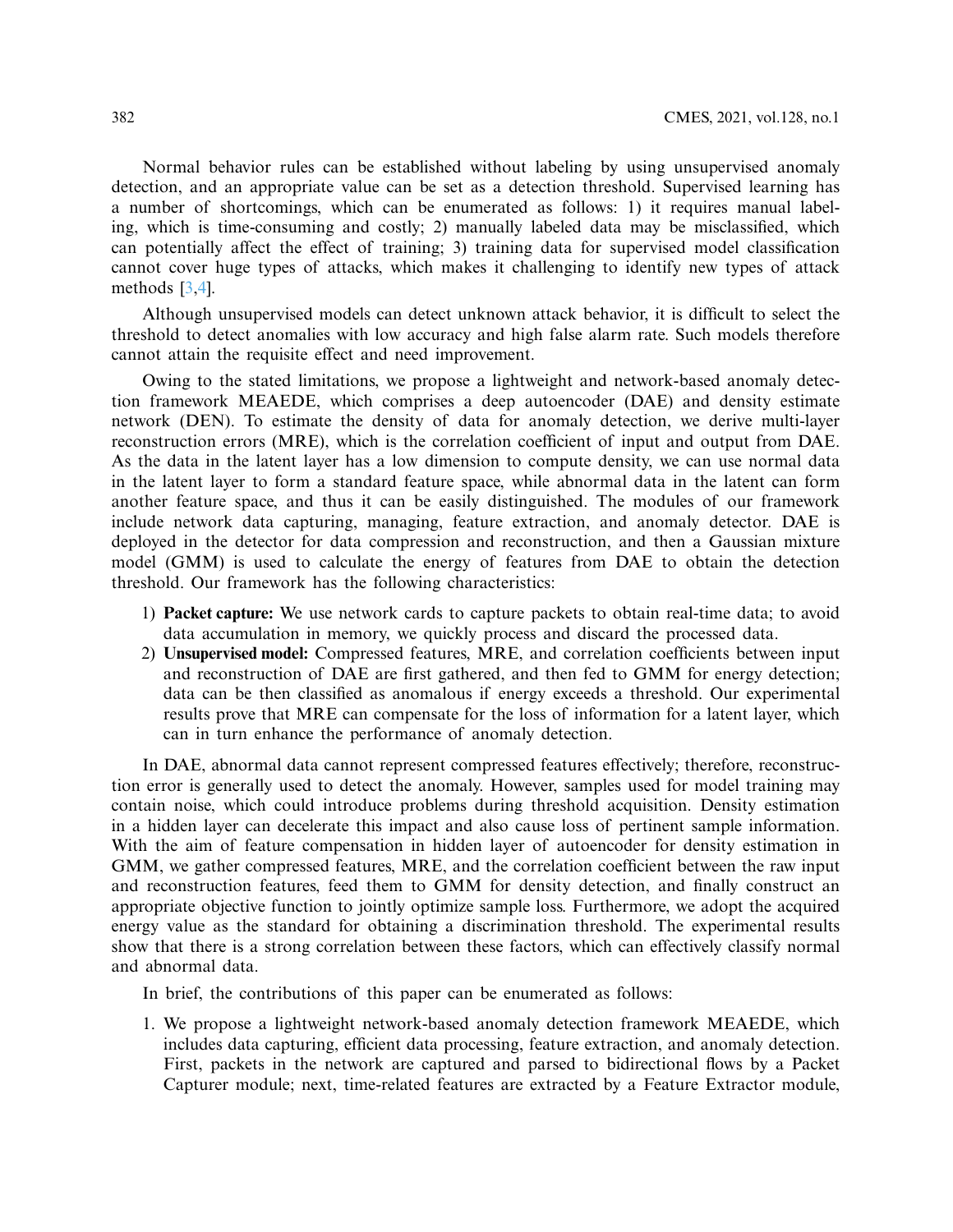Normal behavior rules can be established without labeling by using unsupervised anomaly detection, and an appropriate value can be set as a detection threshold. Supervised learning has a number of shortcomings, which can be enumerated as follows: 1) it requires manual labeling, which is time-consuming and costly; 2) manually labeled data may be misclassified, which can potentially affect the effect of training; 3) training data for supervised model classification cannot cover huge types of attacks, which makes it challenging to identify new types of attack methods [\[3](#page-15-2)[,4\]](#page-15-3).

Although unsupervised models can detect unknown attack behavior, it is difficult to select the threshold to detect anomalies with low accuracy and high false alarm rate. Such models therefore cannot attain the requisite effect and need improvement.

Owing to the stated limitations, we propose a lightweight and network-based anomaly detection framework MEAEDE, which comprises a deep autoencoder (DAE) and density estimate network (DEN). To estimate the density of data for anomaly detection, we derive multi-layer reconstruction errors (MRE), which is the correlation coefficient of input and output from DAE. As the data in the latent layer has a low dimension to compute density, we can use normal data in the latent layer to form a standard feature space, while abnormal data in the latent can form another feature space, and thus it can be easily distinguished. The modules of our framework include network data capturing, managing, feature extraction, and anomaly detector. DAE is deployed in the detector for data compression and reconstruction, and then a Gaussian mixture model (GMM) is used to calculate the energy of features from DAE to obtain the detection threshold. Our framework has the following characteristics:

- 1) **Packet capture:** We use network cards to capture packets to obtain real-time data; to avoid data accumulation in memory, we quickly process and discard the processed data.
- 2) **Unsupervised model:** Compressed features, MRE, and correlation coefficients between input and reconstruction of DAE are first gathered, and then fed to GMM for energy detection; data can be then classified as anomalous if energy exceeds a threshold. Our experimental results prove that MRE can compensate for the loss of information for a latent layer, which can in turn enhance the performance of anomaly detection.

In DAE, abnormal data cannot represent compressed features effectively; therefore, reconstruction error is generally used to detect the anomaly. However, samples used for model training may contain noise, which could introduce problems during threshold acquisition. Density estimation in a hidden layer can decelerate this impact and also cause loss of pertinent sample information. With the aim of feature compensation in hidden layer of autoencoder for density estimation in GMM, we gather compressed features, MRE, and the correlation coefficient between the raw input and reconstruction features, feed them to GMM for density detection, and finally construct an appropriate objective function to jointly optimize sample loss. Furthermore, we adopt the acquired energy value as the standard for obtaining a discrimination threshold. The experimental results show that there is a strong correlation between these factors, which can effectively classify normal and abnormal data.

In brief, the contributions of this paper can be enumerated as follows:

1. We propose a lightweight network-based anomaly detection framework MEAEDE, which includes data capturing, efficient data processing, feature extraction, and anomaly detection. First, packets in the network are captured and parsed to bidirectional flows by a Packet Capturer module; next, time-related features are extracted by a Feature Extractor module,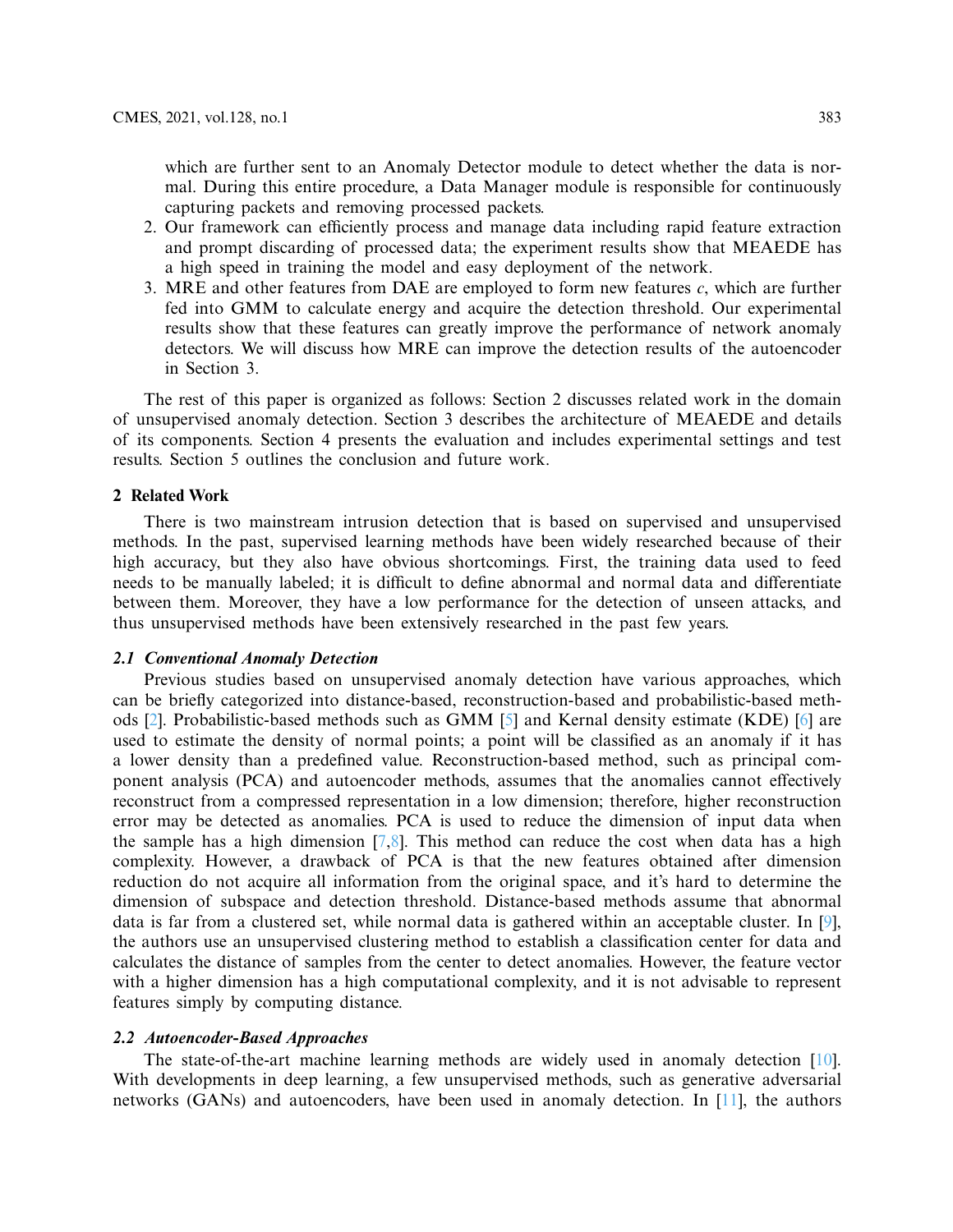which are further sent to an Anomaly Detector module to detect whether the data is normal. During this entire procedure, a Data Manager module is responsible for continuously capturing packets and removing processed packets.

- 2. Our framework can efficiently process and manage data including rapid feature extraction and prompt discarding of processed data; the experiment results show that MEAEDE has a high speed in training the model and easy deployment of the network.
- 3. MRE and other features from DAE are employed to form new features *c*, which are further fed into GMM to calculate energy and acquire the detection threshold. Our experimental results show that these features can greatly improve the performance of network anomaly detectors. We will discuss how MRE can improve the detection results of the autoencoder in Section 3.

The rest of this paper is organized as follows: Section 2 discusses related work in the domain of unsupervised anomaly detection. Section 3 describes the architecture of MEAEDE and details of its components. Section 4 presents the evaluation and includes experimental settings and test results. Section 5 outlines the conclusion and future work.

## **2 Related Work**

There is two mainstream intrusion detection that is based on supervised and unsupervised methods. In the past, supervised learning methods have been widely researched because of their high accuracy, but they also have obvious shortcomings. First, the training data used to feed needs to be manually labeled; it is difficult to define abnormal and normal data and differentiate between them. Moreover, they have a low performance for the detection of unseen attacks, and thus unsupervised methods have been extensively researched in the past few years.

#### **2.1 Conventional Anomaly Detection**

Previous studies based on unsupervised anomaly detection have various approaches, which can be briefly categorized into distance-based, reconstruction-based and probabilistic-based methods [\[2\]](#page-15-1). Probabilistic-based methods such as GMM [\[5\]](#page-15-4) and Kernal density estimate (KDE) [\[6\]](#page-15-5) are used to estimate the density of normal points; a point will be classified as an anomaly if it has a lower density than a predefined value. Reconstruction-based method, such as principal component analysis (PCA) and autoencoder methods, assumes that the anomalies cannot effectively reconstruct from a compressed representation in a low dimension; therefore, higher reconstruction error may be detected as anomalies. PCA is used to reduce the dimension of input data when the sample has a high dimension [\[7](#page-15-6)[,8\]](#page-16-0). This method can reduce the cost when data has a high complexity. However, a drawback of PCA is that the new features obtained after dimension reduction do not acquire all information from the original space, and it's hard to determine the dimension of subspace and detection threshold. Distance-based methods assume that abnormal data is far from a clustered set, while normal data is gathered within an acceptable cluster. In [\[9\]](#page-16-1), the authors use an unsupervised clustering method to establish a classification center for data and calculates the distance of samples from the center to detect anomalies. However, the feature vector with a higher dimension has a high computational complexity, and it is not advisable to represent features simply by computing distance.

#### **2.2 Autoencoder-Based Approaches**

The state-of-the-art machine learning methods are widely used in anomaly detection [\[10\]](#page-16-2). With developments in deep learning, a few unsupervised methods, such as generative adversarial networks (GANs) and autoencoders, have been used in anomaly detection. In [\[11\]](#page-16-3), the authors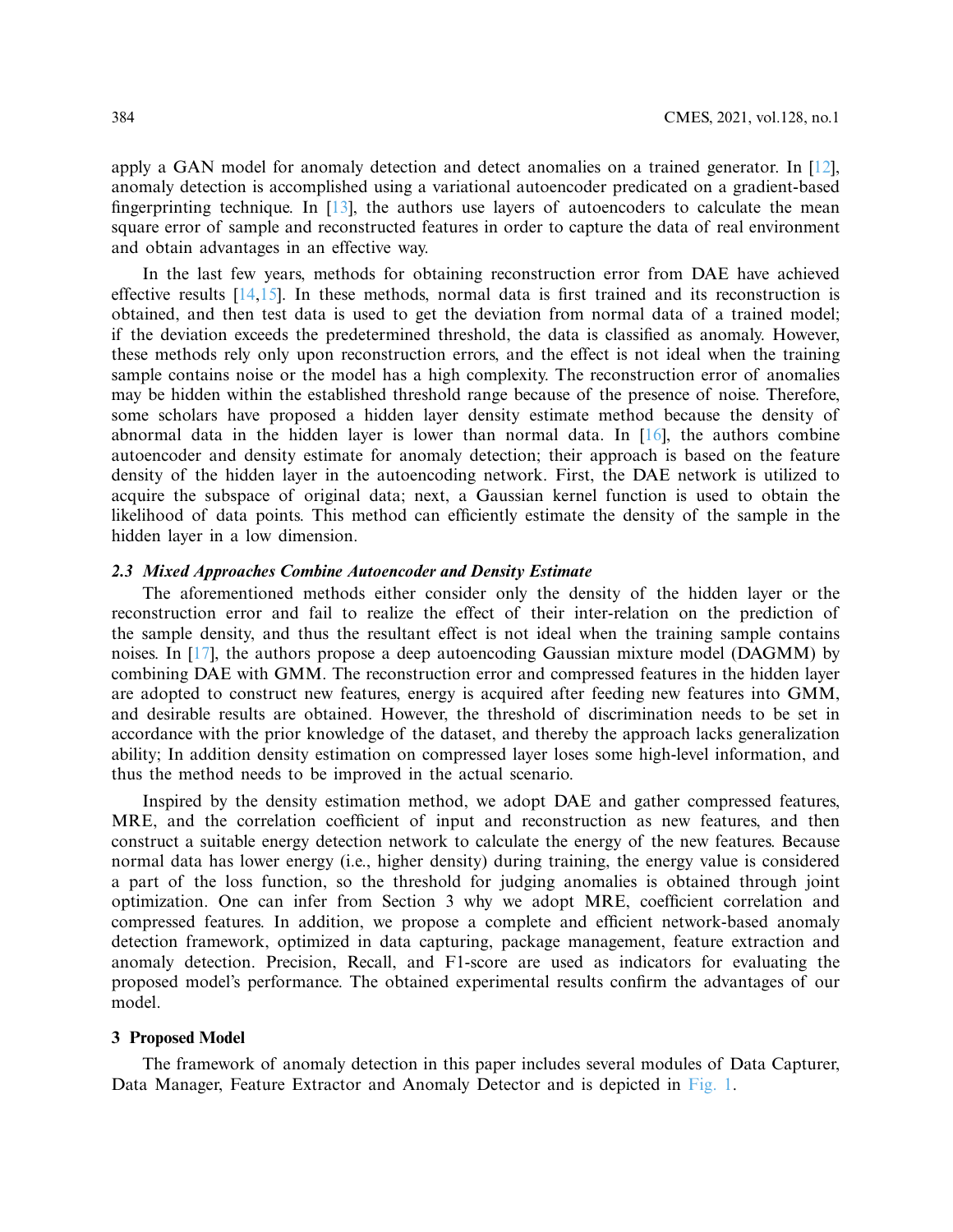apply a GAN model for anomaly detection and detect anomalies on a trained generator. In [\[12\]](#page-16-4), anomaly detection is accomplished using a variational autoencoder predicated on a gradient-based fingerprinting technique. In  $[13]$ , the authors use layers of autoencoders to calculate the mean square error of sample and reconstructed features in order to capture the data of real environment and obtain advantages in an effective way.

In the last few years, methods for obtaining reconstruction error from DAE have achieved effective results  $[14,15]$  $[14,15]$ . In these methods, normal data is first trained and its reconstruction is obtained, and then test data is used to get the deviation from normal data of a trained model; if the deviation exceeds the predetermined threshold, the data is classified as anomaly. However, these methods rely only upon reconstruction errors, and the effect is not ideal when the training sample contains noise or the model has a high complexity. The reconstruction error of anomalies may be hidden within the established threshold range because of the presence of noise. Therefore, some scholars have proposed a hidden layer density estimate method because the density of abnormal data in the hidden layer is lower than normal data. In [\[16\]](#page-16-8), the authors combine autoencoder and density estimate for anomaly detection; their approach is based on the feature density of the hidden layer in the autoencoding network. First, the DAE network is utilized to acquire the subspace of original data; next, a Gaussian kernel function is used to obtain the likelihood of data points. This method can efficiently estimate the density of the sample in the hidden layer in a low dimension.

## **2.3 Mixed Approaches Combine Autoencoder and Density Estimate**

The aforementioned methods either consider only the density of the hidden layer or the reconstruction error and fail to realize the effect of their inter-relation on the prediction of the sample density, and thus the resultant effect is not ideal when the training sample contains noises. In [\[17\]](#page-16-9), the authors propose a deep autoencoding Gaussian mixture model (DAGMM) by combining DAE with GMM. The reconstruction error and compressed features in the hidden layer are adopted to construct new features, energy is acquired after feeding new features into GMM, and desirable results are obtained. However, the threshold of discrimination needs to be set in accordance with the prior knowledge of the dataset, and thereby the approach lacks generalization ability; In addition density estimation on compressed layer loses some high-level information, and thus the method needs to be improved in the actual scenario.

Inspired by the density estimation method, we adopt DAE and gather compressed features, MRE, and the correlation coefficient of input and reconstruction as new features, and then construct a suitable energy detection network to calculate the energy of the new features. Because normal data has lower energy (i.e., higher density) during training, the energy value is considered a part of the loss function, so the threshold for judging anomalies is obtained through joint optimization. One can infer from Section 3 why we adopt MRE, coefficient correlation and compressed features. In addition, we propose a complete and efficient network-based anomaly detection framework, optimized in data capturing, package management, feature extraction and anomaly detection. Precision, Recall, and F1-score are used as indicators for evaluating the proposed model's performance. The obtained experimental results confirm the advantages of our model.

#### **3 Proposed Model**

The framework of anomaly detection in this paper includes several modules of Data Capturer, Data Manager, Feature Extractor and Anomaly Detector and is depicted in [Fig. 1.](#page-4-0)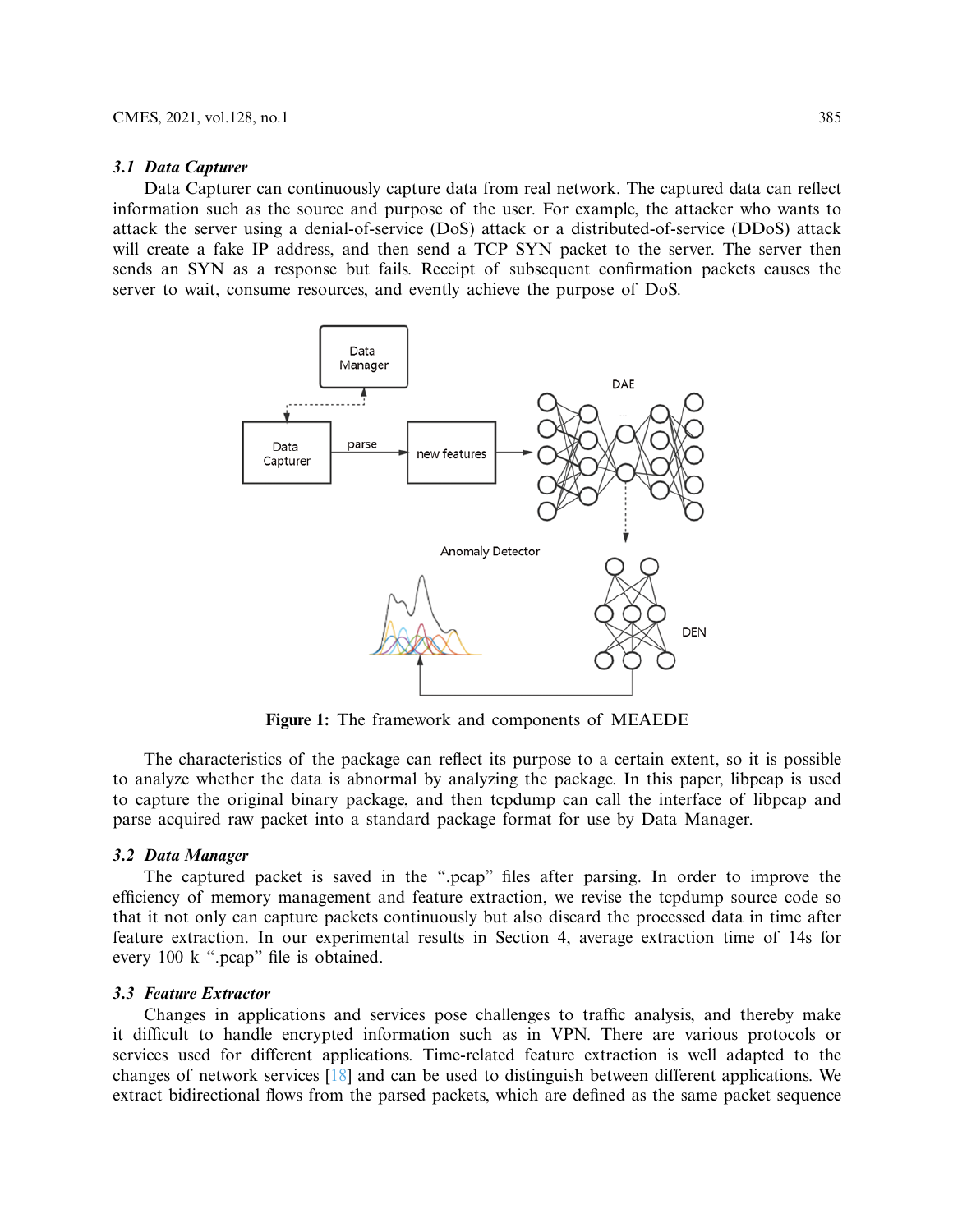#### **3.1 Data Capturer**

Data Capturer can continuously capture data from real network. The captured data can reflect information such as the source and purpose of the user. For example, the attacker who wants to attack the server using a denial-of-service (DoS) attack or a distributed-of-service (DDoS) attack will create a fake IP address, and then send a TCP SYN packet to the server. The server then sends an SYN as a response but fails. Receipt of subsequent confirmation packets causes the server to wait, consume resources, and evently achieve the purpose of DoS.



<span id="page-4-0"></span>**Figure 1:** The framework and components of MEAEDE

The characteristics of the package can reflect its purpose to a certain extent, so it is possible to analyze whether the data is abnormal by analyzing the package. In this paper, libpcap is used to capture the original binary package, and then tcpdump can call the interface of libpcap and parse acquired raw packet into a standard package format for use by Data Manager.

#### **3.2 Data Manager**

The captured packet is saved in the ".pcap" files after parsing. In order to improve the efficiency of memory management and feature extraction, we revise the tcpdump source code so that it not only can capture packets continuously but also discard the processed data in time after feature extraction. In our experimental results in Section 4, average extraction time of 14s for every 100 k ".pcap" file is obtained.

#### **3.3 Feature Extractor**

Changes in applications and services pose challenges to traffic analysis, and thereby make it difficult to handle encrypted information such as in VPN. There are various protocols or services used for different applications. Time-related feature extraction is well adapted to the changes of network services [\[18\]](#page-16-10) and can be used to distinguish between different applications. We extract bidirectional flows from the parsed packets, which are defined as the same packet sequence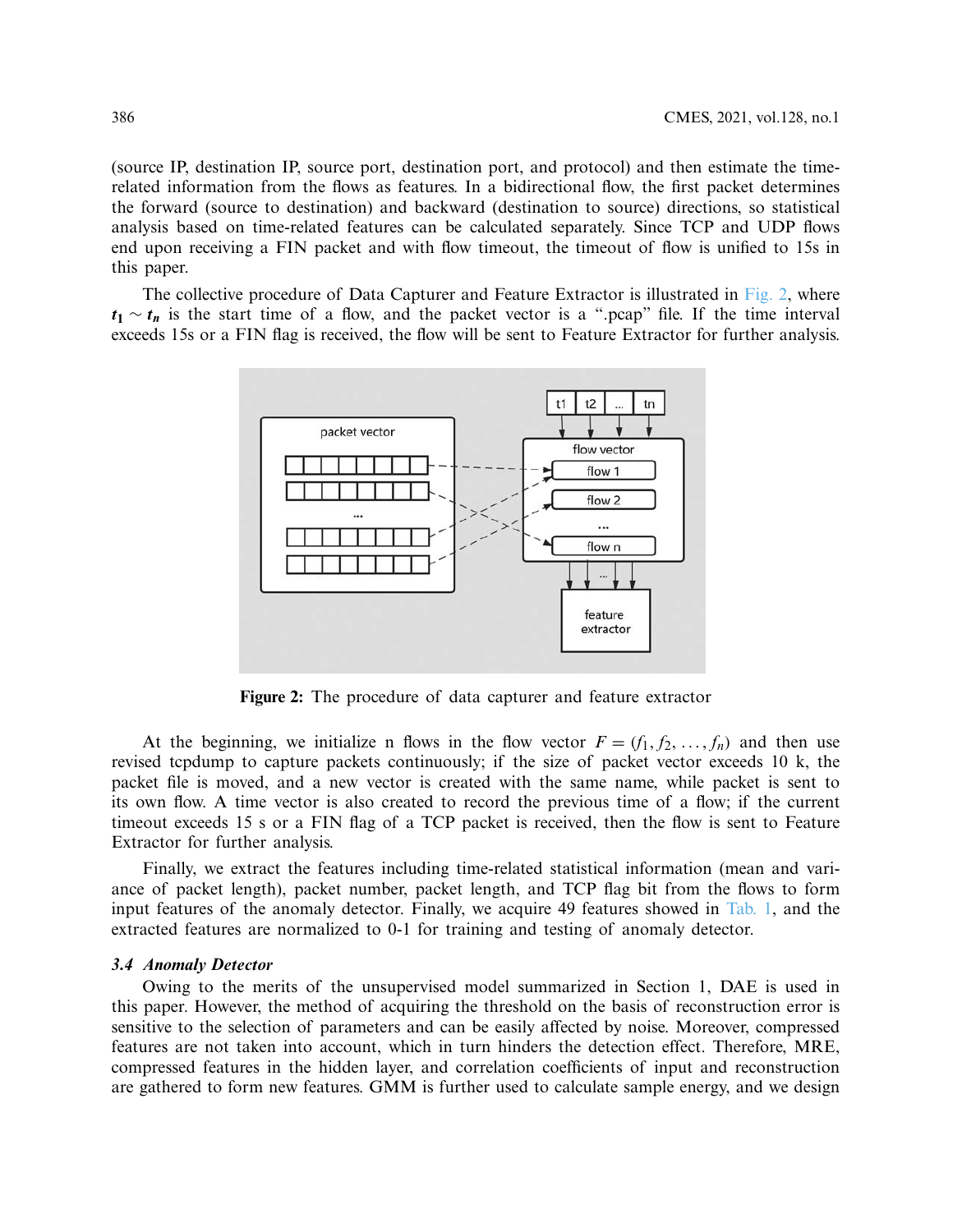(source IP, destination IP, source port, destination port, and protocol) and then estimate the timerelated information from the flows as features. In a bidirectional flow, the first packet determines the forward (source to destination) and backward (destination to source) directions, so statistical analysis based on time-related features can be calculated separately. Since TCP and UDP flows end upon receiving a FIN packet and with flow timeout, the timeout of flow is unified to 15s in this paper.

The collective procedure of Data Capturer and Feature Extractor is illustrated in [Fig. 2,](#page-5-0) where  $t_1 \sim t_n$  is the start time of a flow, and the packet vector is a ".pcap" file. If the time interval exceeds 15s or a FIN flag is received, the flow will be sent to Feature Extractor for further analysis.



<span id="page-5-0"></span>**Figure 2:** The procedure of data capturer and feature extractor

At the beginning, we initialize n flows in the flow vector  $F = (f_1, f_2, \ldots, f_n)$  and then use revised tcpdump to capture packets continuously; if the size of packet vector exceeds 10 k, the packet file is moved, and a new vector is created with the same name, while packet is sent to its own flow. A time vector is also created to record the previous time of a flow; if the current timeout exceeds 15 s or a FIN flag of a TCP packet is received, then the flow is sent to Feature Extractor for further analysis.

Finally, we extract the features including time-related statistical information (mean and variance of packet length), packet number, packet length, and TCP flag bit from the flows to form input features of the anomaly detector. Finally, we acquire 49 features showed in [Tab. 1,](#page-6-0) and the extracted features are normalized to 0-1 for training and testing of anomaly detector.

#### **3.4 Anomaly Detector**

Owing to the merits of the unsupervised model summarized in Section 1, DAE is used in this paper. However, the method of acquiring the threshold on the basis of reconstruction error is sensitive to the selection of parameters and can be easily affected by noise. Moreover, compressed features are not taken into account, which in turn hinders the detection effect. Therefore, MRE, compressed features in the hidden layer, and correlation coefficients of input and reconstruction are gathered to form new features. GMM is further used to calculate sample energy, and we design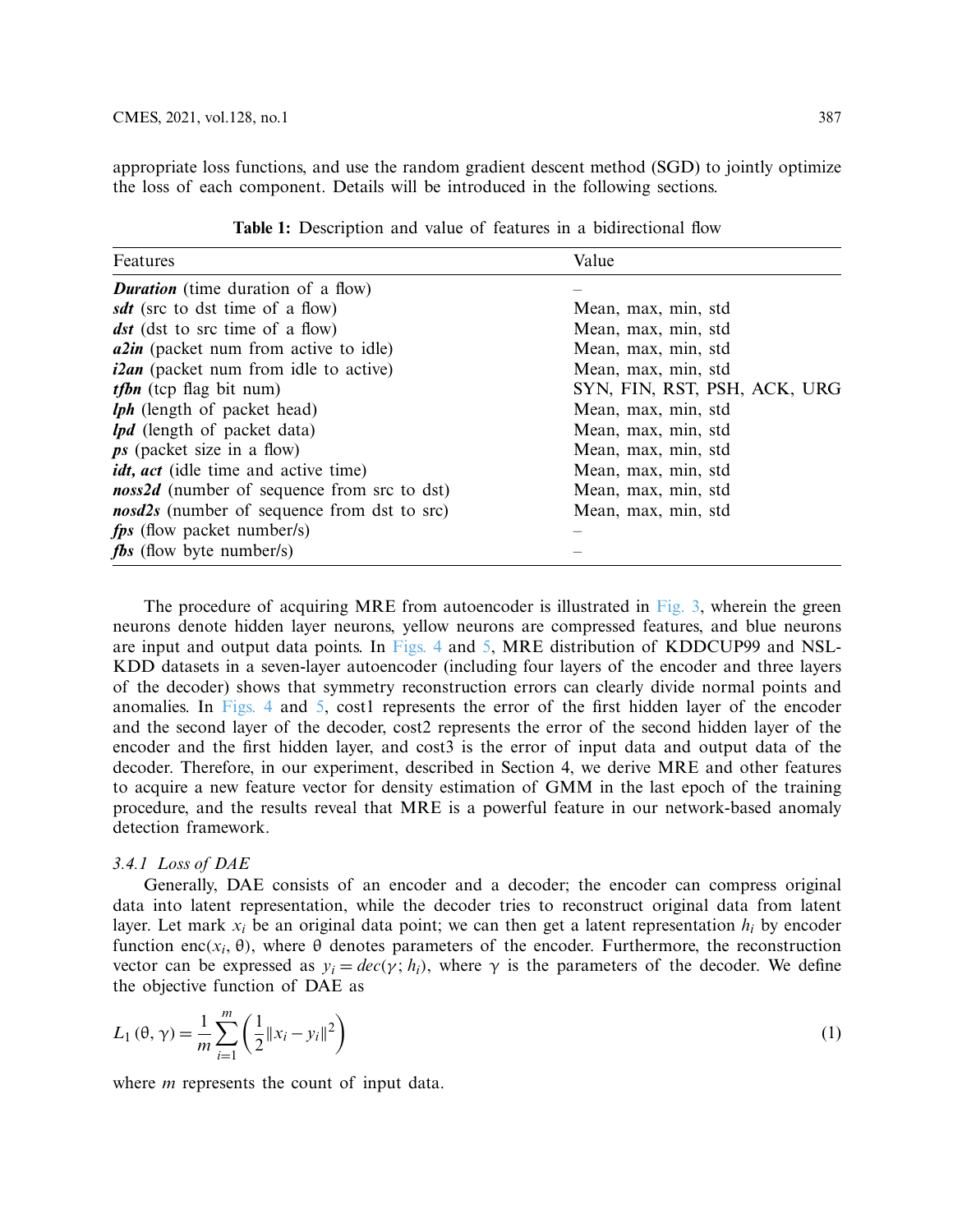appropriate loss functions, and use the random gradient descent method (SGD) to jointly optimize the loss of each component. Details will be introduced in the following sections.

<span id="page-6-0"></span>

| Features                                     | Value                        |
|----------------------------------------------|------------------------------|
| <b>Duration</b> (time duration of a flow)    |                              |
| sdt (src to dst time of a flow)              | Mean, max, min, std          |
| <b>dst</b> (dst to src time of a flow)       | Mean, max, min, std          |
| <i>alin</i> (packet num from active to idle) | Mean, max, min, std          |
| $i2an$ (packet num from idle to active)      | Mean, max, min, std          |
| <i>tfbn</i> (tcp flag bit num)               | SYN, FIN, RST, PSH, ACK, URG |
| <b>lph</b> (length of packet head)           | Mean, max, min, std          |
| <i>lpd</i> (length of packet data)           | Mean, max, min, std          |
| $\mathbf{p}$ s (packet size in a flow)       | Mean, max, min, std          |
| <i>idt, act</i> (idle time and active time)  | Mean, max, min, std          |
| noss2d (number of sequence from src to dst)  | Mean, max, min, std          |
| nosd2s (number of sequence from dst to src)  | Mean, max, min, std          |
| <i>fps</i> (flow packet number/s)            |                              |
| <b><i>fbs</i></b> (flow byte number/s)       |                              |

Table 1: Description and value of features in a bidirectional flow

The procedure of acquiring MRE from autoencoder is illustrated in [Fig. 3,](#page-7-0) wherein the green neurons denote hidden layer neurons, yellow neurons are compressed features, and blue neurons are input and output data points. In [Figs. 4](#page-7-1) and [5,](#page-8-0) MRE distribution of KDDCUP99 and NSL-KDD datasets in a seven-layer autoencoder (including four layers of the encoder and three layers of the decoder) shows that symmetry reconstruction errors can clearly divide normal points and anomalies. In [Figs. 4](#page-7-1) and [5,](#page-8-0) cost1 represents the error of the first hidden layer of the encoder and the second layer of the decoder, cost2 represents the error of the second hidden layer of the encoder and the first hidden layer, and cost3 is the error of input data and output data of the decoder. Therefore, in our experiment, described in Section 4, we derive MRE and other features to acquire a new feature vector for density estimation of GMM in the last epoch of the training procedure, and the results reveal that MRE is a powerful feature in our network-based anomaly detection framework.

# *3.4.1 Loss of DAE*

Generally, DAE consists of an encoder and a decoder; the encoder can compress original data into latent representation, while the decoder tries to reconstruct original data from latent layer. Let mark  $x_i$  be an original data point; we can then get a latent representation  $h_i$  by encoder function enc( $x_i$ ,  $\theta$ ), where  $\theta$  denotes parameters of the encoder. Furthermore, the reconstruction vector can be expressed as  $y_i = dec(y; h_i)$ , where  $\gamma$  is the parameters of the decoder. We define the objective function of DAE as

$$
L_1(\theta, \gamma) = \frac{1}{m} \sum_{i=1}^{m} \left( \frac{1}{2} \|x_i - y_i\|^2 \right)
$$
 (1)

where *m* represents the count of input data.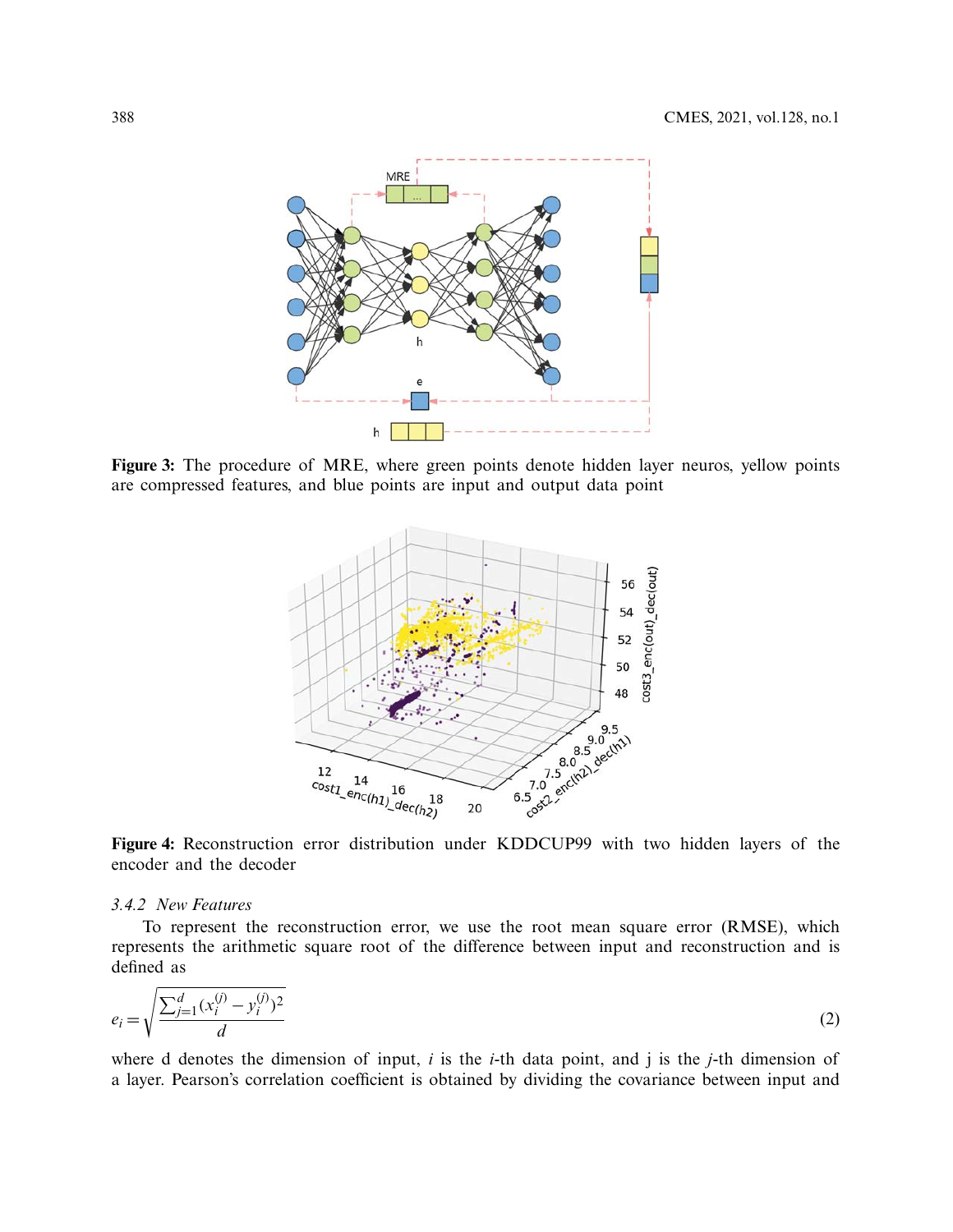

**Figure 3:** The procedure of MRE, where green points denote hidden layer neuros, yellow points are compressed features, and blue points are input and output data point

<span id="page-7-1"></span><span id="page-7-0"></span>

**Figure 4:** Reconstruction error distribution under KDDCUP99 with two hidden layers of the encoder and the decoder

#### *3.4.2 New Features*

To represent the reconstruction error, we use the root mean square error (RMSE), which represents the arithmetic square root of the difference between input and reconstruction and is defined as

$$
e_i = \sqrt{\frac{\sum_{j=1}^d (x_i^{(j)} - y_i^{(j)})^2}{d}}
$$
 (2)

where d denotes the dimension of input, *i* is the *i*-th data point, and j is the *j*-th dimension of a layer. Pearson's correlation coefficient is obtained by dividing the covariance between input and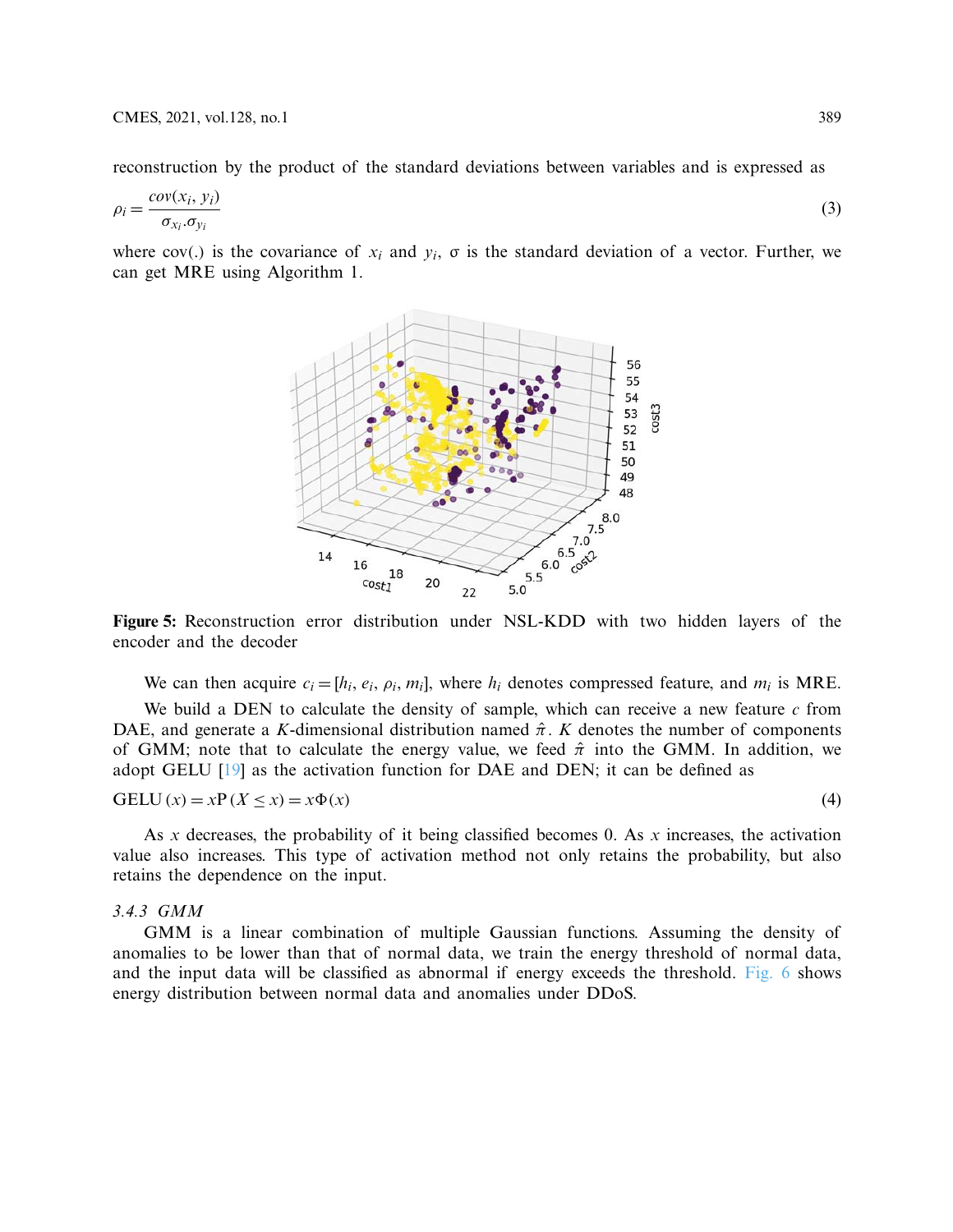reconstruction by the product of the standard deviations between variables and is expressed as

$$
\rho_i = \frac{cov(x_i, y_i)}{\sigma_{x_i} \cdot \sigma_{y_i}}\tag{3}
$$

where cov(.) is the covariance of  $x_i$  and  $y_i$ ,  $\sigma$  is the standard deviation of a vector. Further, we can get MRE using Algorithm 1.

<span id="page-8-0"></span>

**Figure 5:** Reconstruction error distribution under NSL-KDD with two hidden layers of the encoder and the decoder

We can then acquire  $c_i = [h_i, e_i, \rho_i, m_i]$ , where  $h_i$  denotes compressed feature, and  $m_i$  is MRE.

We build a DEN to calculate the density of sample, which can receive a new feature *c* from DAE, and generate a *K*-dimensional distribution named  $\hat{\pi}$ . *K* denotes the number of components of GMM; note that to calculate the energy value, we feed  $\hat{\pi}$  into the GMM. In addition, we adopt GELU  $[19]$  as the activation function for DAE and DEN; it can be defined as

$$
GELU(x) = xP(X \le x) = x\Phi(x)
$$
\n(4)

As  $x$  decreases, the probability of it being classified becomes 0. As  $x$  increases, the activation value also increases. This type of activation method not only retains the probability, but also retains the dependence on the input.

#### *3.4.3 GMM*

GMM is a linear combination of multiple Gaussian functions. Assuming the density of anomalies to be lower than that of normal data, we train the energy threshold of normal data, and the input data will be classified as abnormal if energy exceeds the threshold. [Fig. 6](#page-9-0) shows energy distribution between normal data and anomalies under DDoS.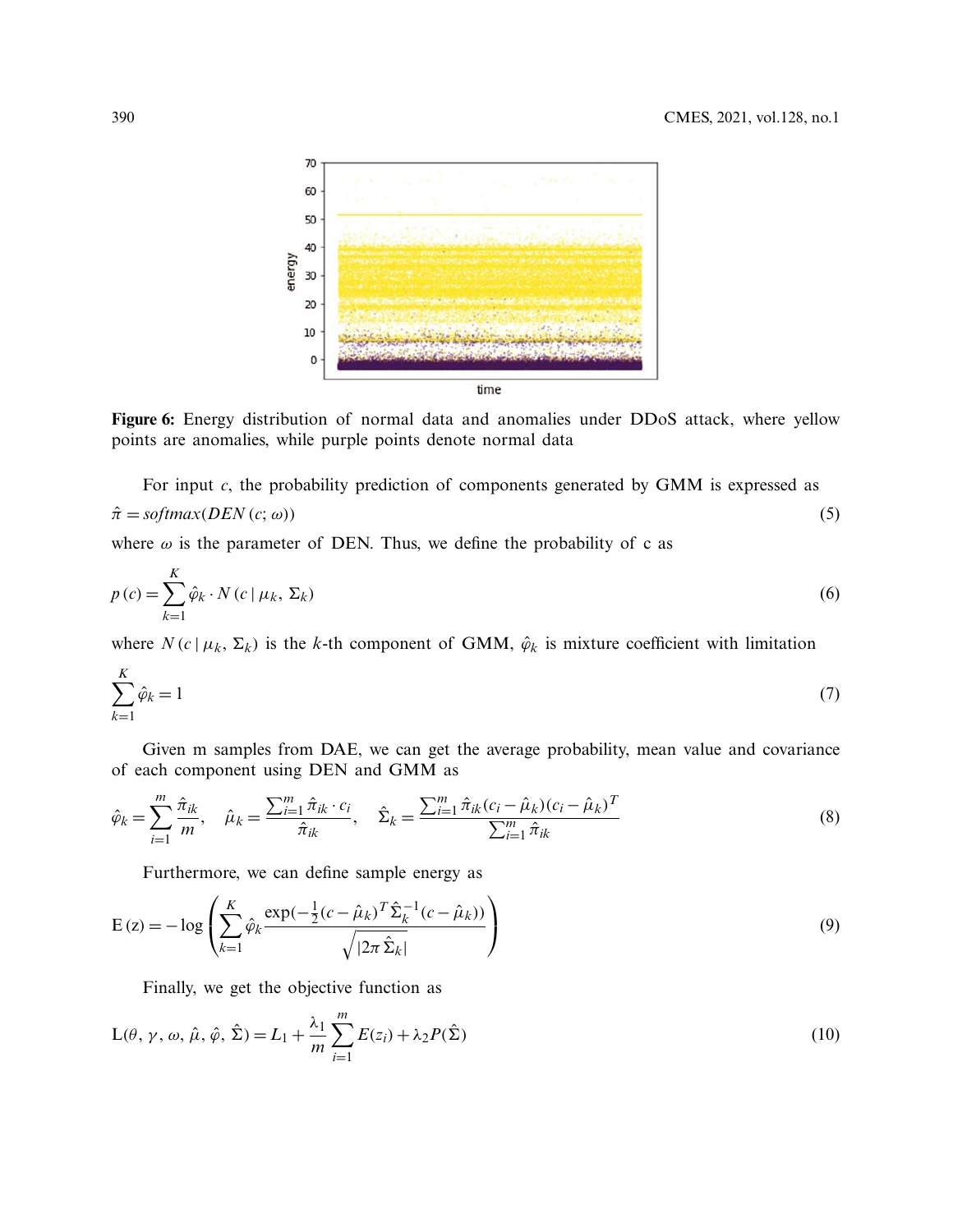<span id="page-9-0"></span>

**Figure 6:** Energy distribution of normal data and anomalies under DDoS attack, where yellow points are anomalies, while purple points denote normal data

For input *c*, the probability prediction of components generated by GMM is expressed as

$$
\hat{\pi} = softmax(DEN(c; \omega))
$$
\n(5)

where  $\omega$  is the parameter of DEN. Thus, we define the probability of c as

$$
p(c) = \sum_{k=1}^{K} \hat{\varphi}_k \cdot N(c \mid \mu_k, \Sigma_k)
$$
\n<sup>(6)</sup>

where  $N(c | \mu_k, \Sigma_k)$  is the *k*-th component of GMM,  $\hat{\varphi}_k$  is mixture coefficient with limitation

$$
\sum_{k=1}^{K} \hat{\varphi}_k = 1\tag{7}
$$

Given m samples from DAE, we can get the average probability, mean value and covariance of each component using DEN and GMM as

$$
\hat{\varphi}_k = \sum_{i=1}^m \frac{\hat{\pi}_{ik}}{m}, \quad \hat{\mu}_k = \frac{\sum_{i=1}^m \hat{\pi}_{ik} \cdot c_i}{\hat{\pi}_{ik}}, \quad \hat{\Sigma}_k = \frac{\sum_{i=1}^m \hat{\pi}_{ik}(c_i - \hat{\mu}_k)(c_i - \hat{\mu}_k)^T}{\sum_{i=1}^m \hat{\pi}_{ik}}
$$
(8)

<span id="page-9-2"></span>Furthermore, we can define sample energy as

$$
E(z) = -\log\left(\sum_{k=1}^{K} \hat{\varphi}_k \frac{\exp(-\frac{1}{2}(c - \hat{\mu}_k)^T \hat{\Sigma}_k^{-1} (c - \hat{\mu}_k))}{\sqrt{|2\pi \hat{\Sigma}_k|}}\right)
$$
(9)

<span id="page-9-1"></span>Finally, we get the objective function as

$$
L(\theta, \gamma, \omega, \hat{\mu}, \hat{\varphi}, \hat{\Sigma}) = L_1 + \frac{\lambda_1}{m} \sum_{i=1}^{m} E(z_i) + \lambda_2 P(\hat{\Sigma})
$$
\n(10)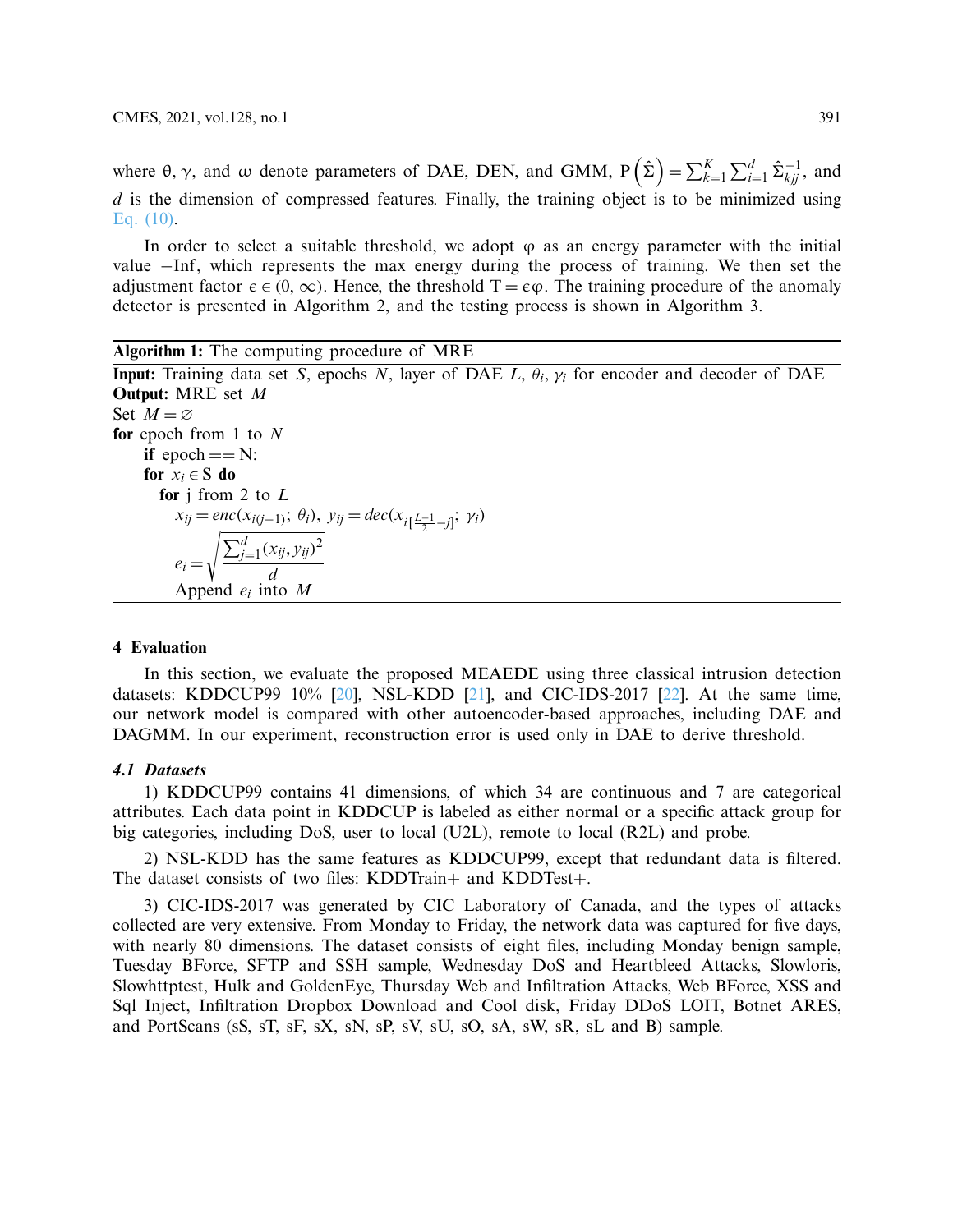where  $\theta$ ,  $\gamma$ , and  $\omega$  denote parameters of DAE, DEN, and GMM,  $P(\hat{\Sigma}) = \sum_{k=1}^{K} \sum_{i=1}^{d} \hat{\Sigma}_{kji}^{-1}$ , and *d* is the dimension of compressed features. Finally, the training object is to be minimized using [Eq. \(10\).](#page-9-1)

In order to select a suitable threshold, we adopt  $\varphi$  as an energy parameter with the initial value −Inf, which represents the max energy during the process of training. We then set the adjustment factor  $\epsilon \in (0, \infty)$ . Hence, the threshold  $T = \epsilon \varphi$ . The training procedure of the anomaly detector is presented in Algorithm 2, and the testing process is shown in Algorithm 3.

**Algorithm 1:** The computing procedure of MRE **Input:** Training data set *S*, epochs *N*, layer of DAE *L*, θ*<sup>i</sup>* , γ*<sup>i</sup>* for encoder and decoder of DAE **Output:** MRE set *M* Set  $M = \varnothing$ **for** epoch from 1 to *N* **if** epoch  $== N$ : **for**  $x_i \in S$  **do for** j from 2 to *L*  $x_{ij} = \text{enc}(x_{i(j-1)}; \theta_i), y_{ij} = \text{dec}(x_{i[\frac{L-1}{2} - j]}, y_i)$  $e_i =$  $\sqrt{\sum_{j=1}^{d} (x_{ij}, y_{ij})^2}$ *d* Append *e<sup>i</sup>* into *M*

#### **4 Evaluation**

In this section, we evaluate the proposed MEAEDE using three classical intrusion detection datasets: KDDCUP99 10%  $[20]$ , NSL-KDD  $[21]$ , and CIC-IDS-2017  $[22]$ . At the same time, our network model is compared with other autoencoder-based approaches, including DAE and DAGMM. In our experiment, reconstruction error is used only in DAE to derive threshold.

# **4.1 Datasets**

1) KDDCUP99 contains 41 dimensions, of which 34 are continuous and 7 are categorical attributes. Each data point in KDDCUP is labeled as either normal or a specific attack group for big categories, including DoS, user to local (U2L), remote to local (R2L) and probe.

2) NSL-KDD has the same features as KDDCUP99, except that redundant data is filtered. The dataset consists of two files: KDDTrain+ and KDDTest+.

3) CIC-IDS-2017 was generated by CIC Laboratory of Canada, and the types of attacks collected are very extensive. From Monday to Friday, the network data was captured for five days, with nearly 80 dimensions. The dataset consists of eight files, including Monday benign sample, Tuesday BForce, SFTP and SSH sample, Wednesday DoS and Heartbleed Attacks, Slowloris, Slowhttptest, Hulk and GoldenEye, Thursday Web and Infiltration Attacks, Web BForce, XSS and Sql Inject, Infiltration Dropbox Download and Cool disk, Friday DDoS LOIT, Botnet ARES, and PortScans (sS, sT, sF, sX, sN, sP, sV, sU, sO, sA, sW, sR, sL and B) sample.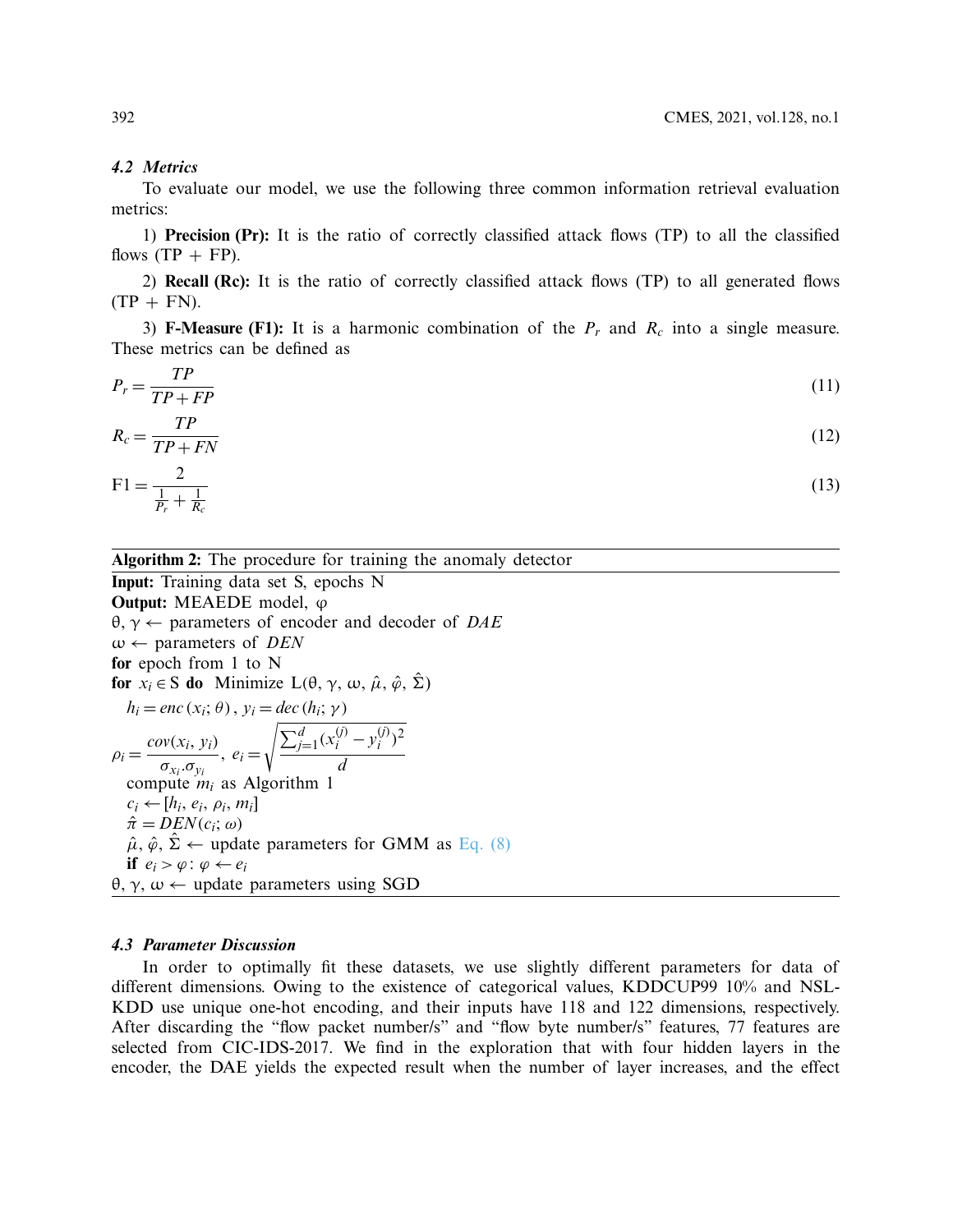#### **4.2 Metrics**

To evaluate our model, we use the following three common information retrieval evaluation metrics:

1) **Precision (Pr):** It is the ratio of correctly classified attack flows (TP) to all the classified flows  $(TP + FP)$ .

2) **Recall (Rc):** It is the ratio of correctly classified attack flows (TP) to all generated flows  $(TP + FN)$ .

3) **F-Measure (F1):** It is a harmonic combination of the  $P_r$  and  $R_c$  into a single measure. These metrics can be defined as

$$
P_r = \frac{TP}{TP + FP} \tag{11}
$$

$$
R_c = \frac{TP}{TP + FN} \tag{12}
$$

$$
F1 = \frac{2}{\frac{1}{P_r} + \frac{1}{R_c}}
$$
(13)

**Algorithm 2:** The procedure for training the anomaly detector

**Input:** Training data set S, epochs N **Output:** MEAEDE model,  $φ$ θ, γ ← parameters of encoder and decoder of *DAE*  $\omega \leftarrow$  parameters of *DEN* **for** epoch from 1 to N **for**  $x_i \in S$  **do** Minimize  $L(\theta, \gamma, \omega, \hat{\mu}, \hat{\varphi}, \hat{\Sigma})$  $h_i = enc(x_i; \theta), y_i = dec(h_i; \gamma)$  $\rho_i = \frac{cov(x_i, y_i)}{T}$ σ*xi* .σ*y<sup>i</sup>*  $,e_i =$  $\sqrt{\sum_{j=1}^{d} (x_i^{(j)} - y_i^{(j)})}$  $\binom{(j)}{i}$ <sup>2</sup> *d* compute *m<sup>i</sup>* as Algorithm 1  $c_i \leftarrow [h_i, e_i, \rho_i, m_i]$  $\hat{\pi} = \overline{D} \overline{E} N(c_i; \omega)$  $\hat{\mu}, \hat{\varphi}, \hat{\Sigma} \leftarrow$  update parameters for GMM as [Eq. \(8\)](#page-9-2) **if**  $e_i > \varphi : \varphi \leftarrow e_i$ θ, γ, ω ← update parameters using SGD

#### **4.3 Parameter Discussion**

In order to optimally fit these datasets, we use slightly different parameters for data of different dimensions. Owing to the existence of categorical values, KDDCUP99 10% and NSL-KDD use unique one-hot encoding, and their inputs have 118 and 122 dimensions, respectively. After discarding the "flow packet number/s" and "flow byte number/s" features, 77 features are selected from CIC-IDS-2017. We find in the exploration that with four hidden layers in the encoder, the DAE yields the expected result when the number of layer increases, and the effect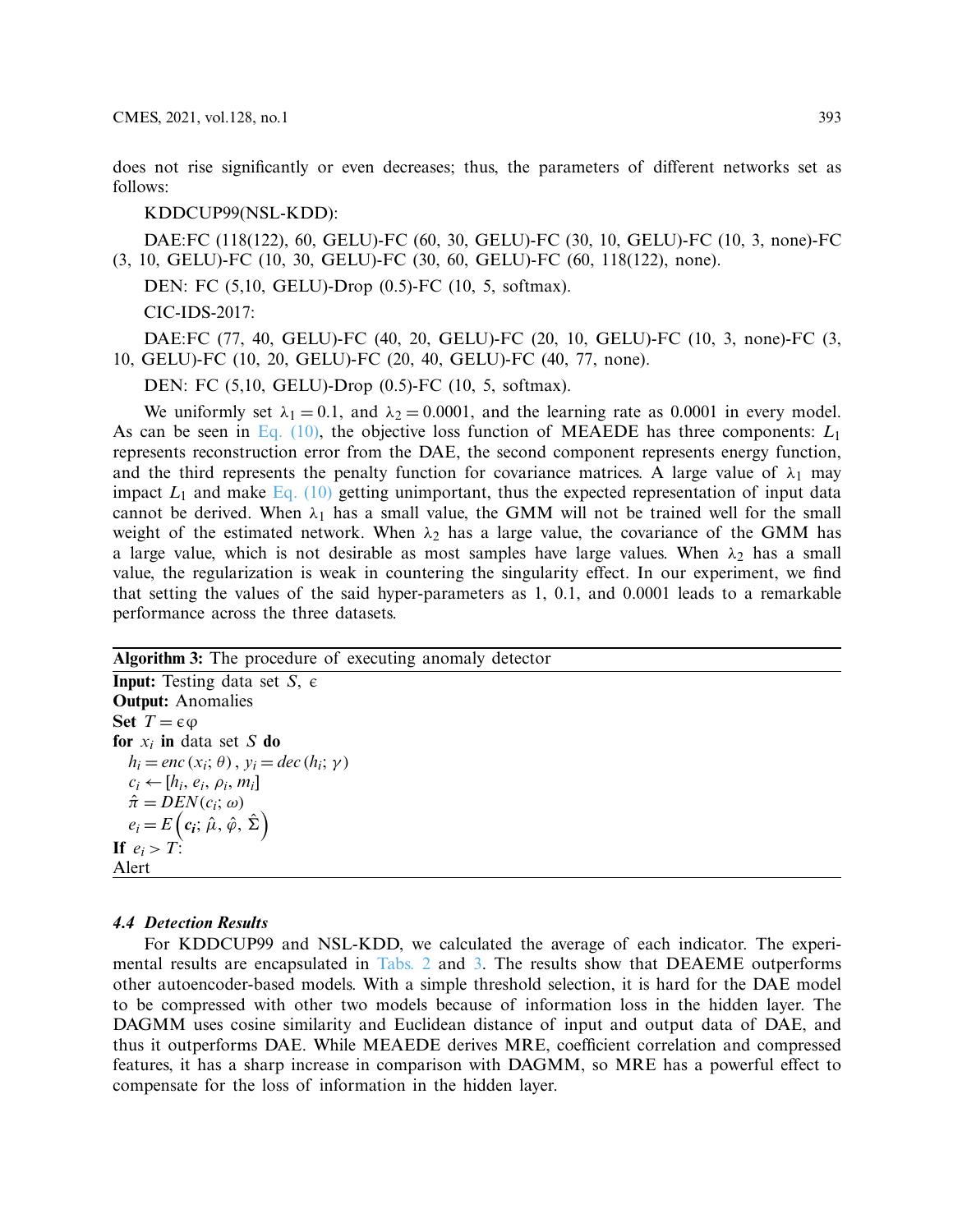does not rise significantly or even decreases; thus, the parameters of different networks set as follows:

# KDDCUP99(NSL-KDD):

DAE:FC (118(122), 60, GELU)-FC (60, 30, GELU)-FC (30, 10, GELU)-FC (10, 3, none)-FC (3, 10, GELU)-FC (10, 30, GELU)-FC (30, 60, GELU)-FC (60, 118(122), none).

DEN: FC (5,10, GELU)-Drop (0.5)-FC (10, 5, softmax).

CIC-IDS-2017:

DAE:FC (77, 40, GELU)-FC (40, 20, GELU)-FC (20, 10, GELU)-FC (10, 3, none)-FC (3, 10, GELU)-FC (10, 20, GELU)-FC (20, 40, GELU)-FC (40, 77, none).

DEN: FC (5,10, GELU)-Drop (0.5)-FC (10, 5, softmax).

We uniformly set  $\lambda_1 = 0.1$ , and  $\lambda_2 = 0.0001$ , and the learning rate as 0.0001 in every model. As can be seen in Eq.  $(10)$ , the objective loss function of MEAEDE has three components:  $L_1$ represents reconstruction error from the DAE, the second component represents energy function, and the third represents the penalty function for covariance matrices. A large value of  $\lambda_1$  may impact  $L_1$  and make [Eq. \(10\)](#page-9-1) getting unimportant, thus the expected representation of input data cannot be derived. When  $\lambda_1$  has a small value, the GMM will not be trained well for the small weight of the estimated network. When  $\lambda_2$  has a large value, the covariance of the GMM has a large value, which is not desirable as most samples have large values. When  $\lambda_2$  has a small value, the regularization is weak in countering the singularity effect. In our experiment, we find that setting the values of the said hyper-parameters as 1, 0.1, and 0.0001 leads to a remarkable performance across the three datasets.

**Algorithm 3:** The procedure of executing anomaly detector

**Input:** Testing data set  $S$ ,  $\epsilon$ **Output:** Anomalies **Set**  $T = \epsilon \varphi$ **for** *x<sup>i</sup>* **in** data set *S* **do**  $h_i = enc(x_i; \theta), y_i = dec(h_i; \gamma)$  $c_i \leftarrow [h_i, e_i, \rho_i, m_i]$  $\hat{\pi} = DEN(c_i; \omega)$  $e_i = E\left(c_i; \hat{\mu}, \hat{\varphi}, \hat{\Sigma}\right)$ **If**  $e_i > T$ : Alert

## **4.4 Detection Results**

For KDDCUP99 and NSL-KDD, we calculated the average of each indicator. The experimental results are encapsulated in [Tabs. 2](#page-13-0) and [3.](#page-13-1) The results show that DEAEME outperforms other autoencoder-based models. With a simple threshold selection, it is hard for the DAE model to be compressed with other two models because of information loss in the hidden layer. The DAGMM uses cosine similarity and Euclidean distance of input and output data of DAE, and thus it outperforms DAE. While MEAEDE derives MRE, coefficient correlation and compressed features, it has a sharp increase in comparison with DAGMM, so MRE has a powerful effect to compensate for the loss of information in the hidden layer.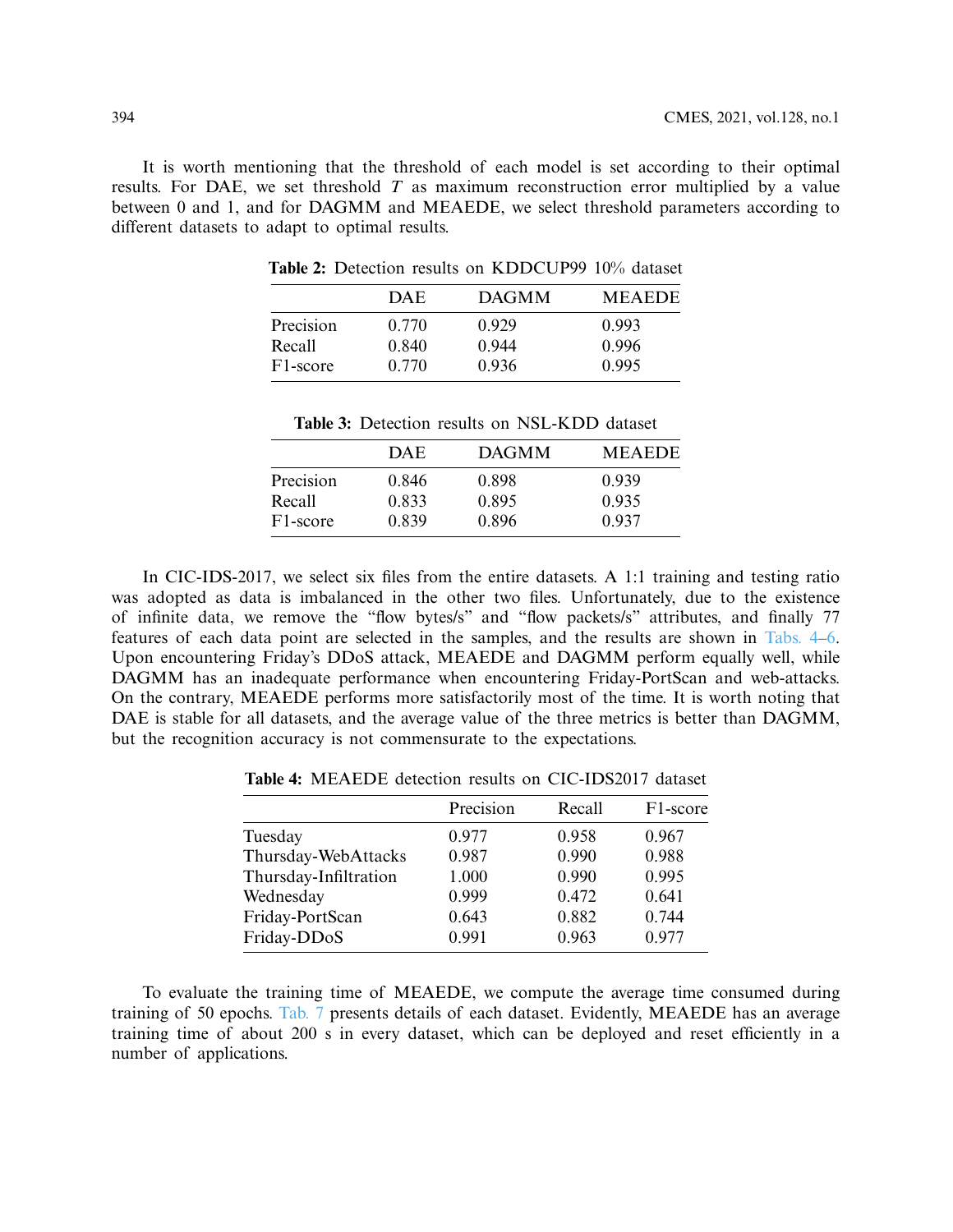<span id="page-13-0"></span>It is worth mentioning that the threshold of each model is set according to their optimal results. For DAE, we set threshold *T* as maximum reconstruction error multiplied by a value between 0 and 1, and for DAGMM and MEAEDE, we select threshold parameters according to different datasets to adapt to optimal results.

|                       | <b>DAE</b> | <b>DAGMM</b> | <b>MEAEDE</b> |
|-----------------------|------------|--------------|---------------|
| Precision             | 0.770      | 0.929        | 0.993         |
| Recall                | 0.840      | 0.944        | 0.996         |
| F <sub>1</sub> -score | 0.770      | 0.936        | 0.995         |

**Table 2:** Detection results on KDDCUP99 10% dataset

|  |  | <b>Table 3:</b> Detection results on NSL-KDD dataset |  |
|--|--|------------------------------------------------------|--|

|                       | DAE   | <b>DAGMM</b> | <b>MEAEDE</b> |
|-----------------------|-------|--------------|---------------|
| Precision             | 0.846 | 0.898        | 0.939         |
| Recall                | 0.833 | 0.895        | 0.935         |
| F <sub>1</sub> -score | 0.839 | 0.896        | 0.937         |

<span id="page-13-1"></span>In CIC-IDS-2017, we select six files from the entire datasets. A 1:1 training and testing ratio was adopted as data is imbalanced in the other two files. Unfortunately, due to the existence of infinite data, we remove the "flow bytes/s" and "flow packets/s" attributes, and finally 77 features of each data point are selected in the samples, and the results are shown in [Tabs. 4](#page-13-2)[–6.](#page-14-0) Upon encountering Friday's DDoS attack, MEAEDE and DAGMM perform equally well, while DAGMM has an inadequate performance when encountering Friday-PortScan and web-attacks. On the contrary, MEAEDE performs more satisfactorily most of the time. It is worth noting that DAE is stable for all datasets, and the average value of the three metrics is better than DAGMM, but the recognition accuracy is not commensurate to the expectations.

**Table 4:** MEAEDE detection results on CIC-IDS2017 dataset

<span id="page-13-2"></span>

| Precision | Recall | F1-score |
|-----------|--------|----------|
| 0.977     | 0.958  | 0.967    |
| 0.987     | 0.990  | 0.988    |
| 1.000     | 0.990  | 0.995    |
| 0.999     | 0.472  | 0.641    |
| 0.643     | 0.882  | 0.744    |
| 0.991     | 0.963  | 0.977    |
|           |        |          |

To evaluate the training time of MEAEDE, we compute the average time consumed during training of 50 epochs. [Tab. 7](#page-14-1) presents details of each dataset. Evidently, MEAEDE has an average training time of about 200 s in every dataset, which can be deployed and reset efficiently in a number of applications.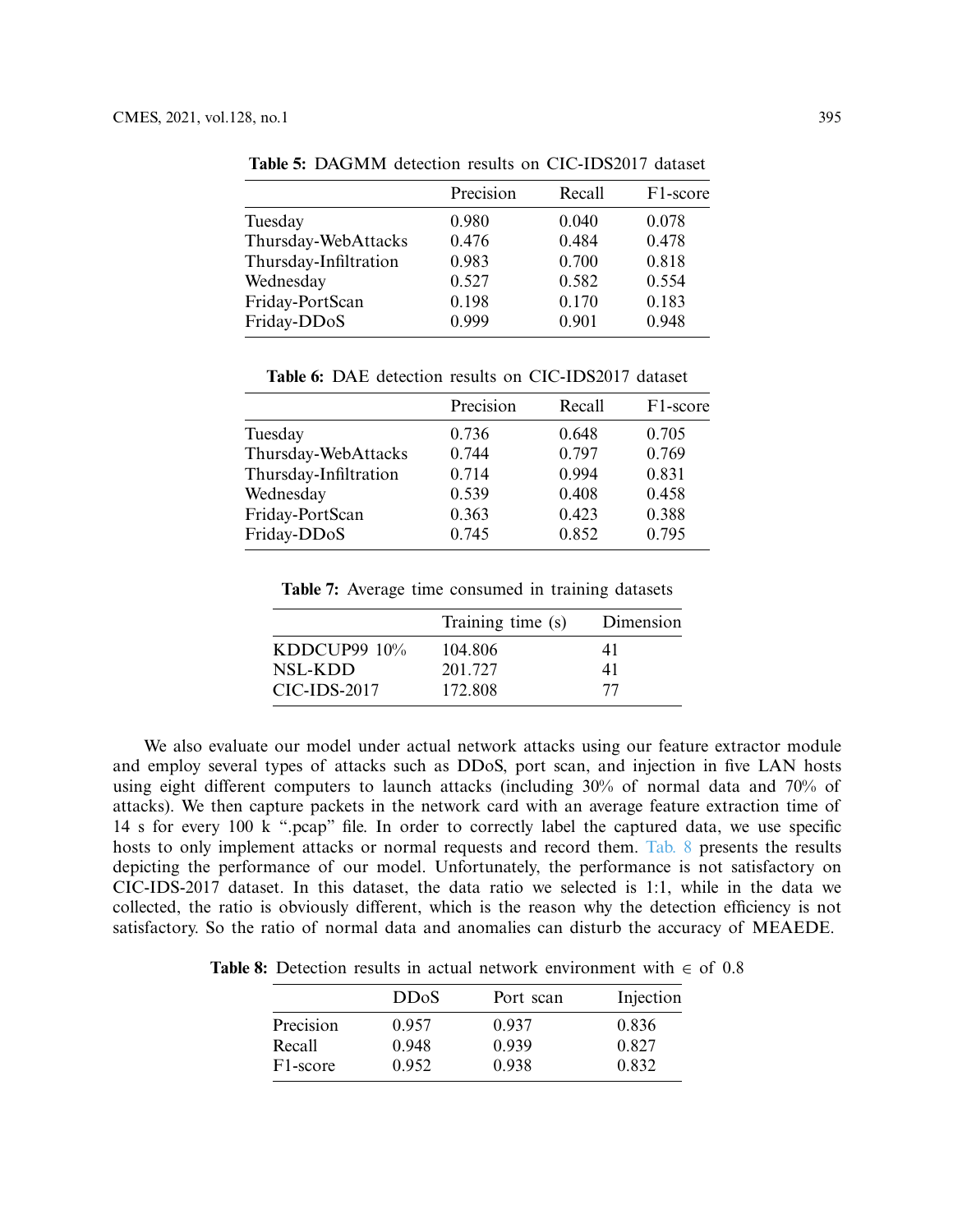|                       | Precision | Recall | F <sub>1</sub> -score |
|-----------------------|-----------|--------|-----------------------|
| Tuesday               | 0.980     | 0.040  | 0.078                 |
| Thursday-WebAttacks   | 0.476     | 0.484  | 0.478                 |
| Thursday-Infiltration | 0.983     | 0.700  | 0.818                 |
| Wednesday             | 0.527     | 0.582  | 0.554                 |
| Friday-PortScan       | 0.198     | 0.170  | 0.183                 |
| Friday-DDoS           | 0.999     | 0.901  | 0.948                 |

**Table 5:** DAGMM detection results on CIC-IDS2017 dataset

**Table 6:** DAE detection results on CIC-IDS2017 dataset

<span id="page-14-0"></span>

|                       | Precision | Recall | F <sub>1</sub> -score |
|-----------------------|-----------|--------|-----------------------|
| Tuesday               | 0.736     | 0.648  | 0.705                 |
| Thursday-WebAttacks   | 0.744     | 0.797  | 0.769                 |
| Thursday-Infiltration | 0.714     | 0.994  | 0.831                 |
| Wednesday             | 0.539     | 0.408  | 0.458                 |
| Friday-PortScan       | 0.363     | 0.423  | 0.388                 |
| Friday-DDoS           | 0.745     | 0.852  | 0.795                 |

**Table 7:** Average time consumed in training datasets

|                 | Training time (s) | Dimension |
|-----------------|-------------------|-----------|
| KDDCUP99 $10\%$ | 104.806           | 41        |
| NSL-KDD         | 201.727           | 41        |
| $CIC-IDS-2017$  | 172.808           | 77        |

<span id="page-14-1"></span>We also evaluate our model under actual network attacks using our feature extractor module and employ several types of attacks such as DDoS, port scan, and injection in five LAN hosts using eight different computers to launch attacks (including 30% of normal data and 70% of attacks). We then capture packets in the network card with an average feature extraction time of 14 s for every 100 k ".pcap" file. In order to correctly label the captured data, we use specific hosts to only implement attacks or normal requests and record them. [Tab. 8](#page-14-2) presents the results depicting the performance of our model. Unfortunately, the performance is not satisfactory on CIC-IDS-2017 dataset. In this dataset, the data ratio we selected is 1:1, while in the data we collected, the ratio is obviously different, which is the reason why the detection efficiency is not satisfactory. So the ratio of normal data and anomalies can disturb the accuracy of MEAEDE.

<span id="page-14-2"></span>**Table 8:** Detection results in actual network environment with  $\in$  of 0.8

|                       | <b>DDoS</b> | Port scan | Injection |
|-----------------------|-------------|-----------|-----------|
| Precision             | 0.957       | 0.937     | 0.836     |
| Recall                | 0.948       | 0.939     | 0.827     |
| F <sub>1</sub> -score | 0.952       | 0.938     | 0.832     |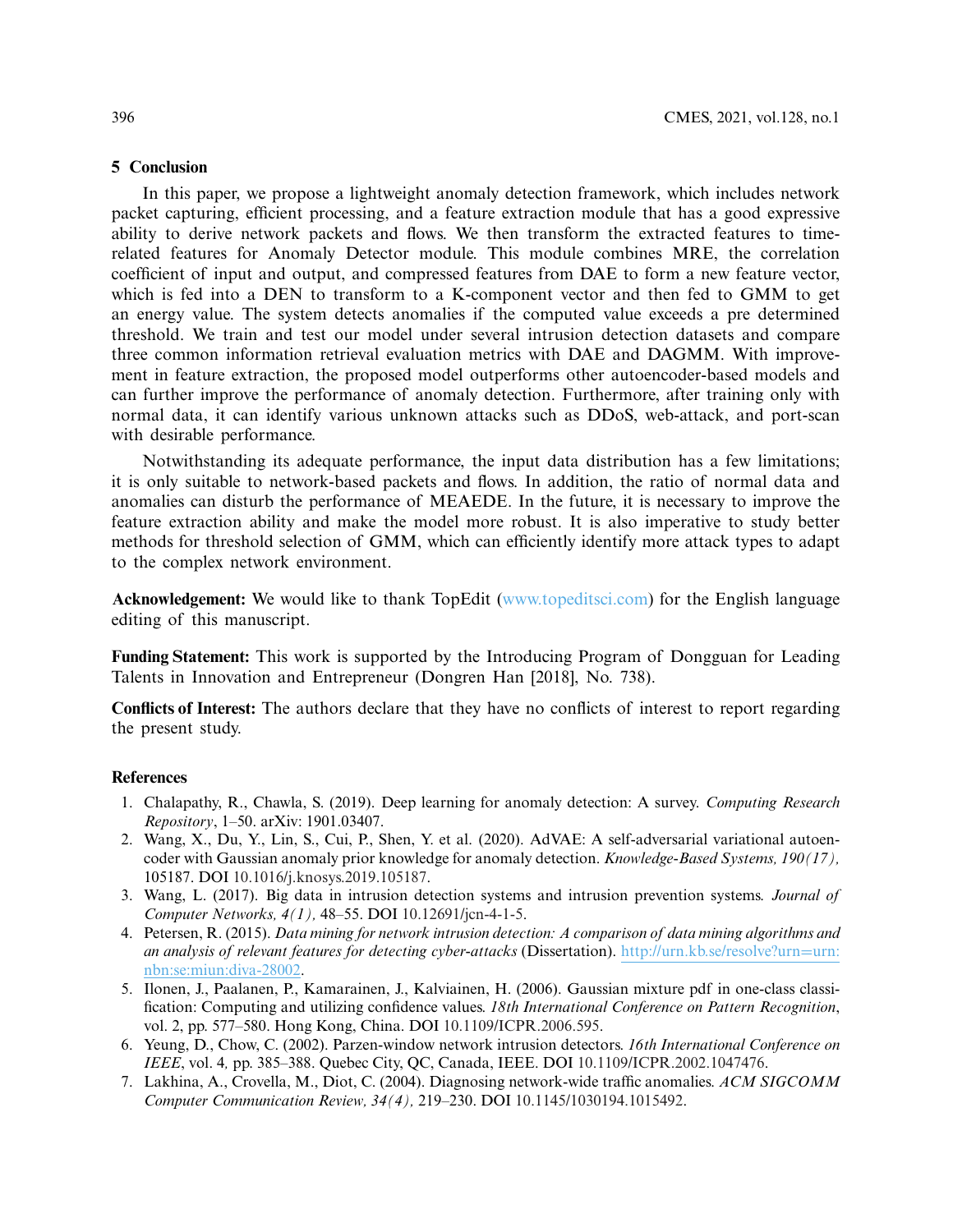#### **5 Conclusion**

In this paper, we propose a lightweight anomaly detection framework, which includes network packet capturing, efficient processing, and a feature extraction module that has a good expressive ability to derive network packets and flows. We then transform the extracted features to timerelated features for Anomaly Detector module. This module combines MRE, the correlation coefficient of input and output, and compressed features from DAE to form a new feature vector, which is fed into a DEN to transform to a K-component vector and then fed to GMM to get an energy value. The system detects anomalies if the computed value exceeds a pre determined threshold. We train and test our model under several intrusion detection datasets and compare three common information retrieval evaluation metrics with DAE and DAGMM. With improvement in feature extraction, the proposed model outperforms other autoencoder-based models and can further improve the performance of anomaly detection. Furthermore, after training only with normal data, it can identify various unknown attacks such as DDoS, web-attack, and port-scan with desirable performance.

Notwithstanding its adequate performance, the input data distribution has a few limitations; it is only suitable to network-based packets and flows. In addition, the ratio of normal data and anomalies can disturb the performance of MEAEDE. In the future, it is necessary to improve the feature extraction ability and make the model more robust. It is also imperative to study better methods for threshold selection of GMM, which can efficiently identify more attack types to adapt to the complex network environment.

**Acknowledgement:** We would like to thank TopEdit [\(www.topeditsci.com\)](https://www.topeditsci.com) for the English language editing of this manuscript.

**Funding Statement:** This work is supported by the Introducing Program of Dongguan for Leading Talents in Innovation and Entrepreneur (Dongren Han [2018], No. 738).

**Conflicts of Interest:** The authors declare that they have no conflicts of interest to report regarding the present study.

#### **References**

- <span id="page-15-0"></span>1. Chalapathy, R., Chawla, S. (2019). Deep learning for anomaly detection: A survey. *Computing Research Repository*, 1–50. arXiv: 1901.03407.
- <span id="page-15-1"></span>2. Wang, X., Du, Y., Lin, S., Cui, P., Shen, Y. et al. (2020). AdVAE: A self-adversarial variational autoencoder with Gaussian anomaly prior knowledge for anomaly detection. *Knowledge-Based Systems, 190(17),* 105187. DOI [10.1016/j.knosys.2019.105187.](http://dx.doi.org/10.1016/j.knosys.2019.105187)
- <span id="page-15-2"></span>3. Wang, L. (2017). Big data in intrusion detection systems and intrusion prevention systems. *Journal of Computer Networks, 4(1),* 48–55. DOI [10.12691/jcn-4-1-5.](http://dx.doi.org/10.12691/jcn-4-1-5)
- <span id="page-15-3"></span>4. Petersen, R. (2015). *Data mining for network intrusion detection: A comparison of data mining algorithms and an analysis of relevant features for detecting cyber-attacks* (Dissertation). [http://urn.kb.se/resolve?urn](http://urn.kb.se/resolve?urn=urn:nbn:se:miun:diva-28002)=urn: [nbn:se:miun:diva-28002.](http://urn.kb.se/resolve?urn=urn:nbn:se:miun:diva-28002)
- <span id="page-15-4"></span>5. Ilonen, J., Paalanen, P., Kamarainen, J., Kalviainen, H. (2006). Gaussian mixture pdf in one-class classi fication: Computing and utilizing confidence values. *18th International Conference on Pattern Recognition*, vol. 2, pp. 577–580. Hong Kong, China. DOI [10.1109/ICPR.2006.595.](http://dx.doi.org/10.1109/ICPR.2006.595)
- <span id="page-15-5"></span>6. Yeung, D., Chow, C. (2002). Parzen-window network intrusion detectors. *16th International Conference on IEEE*, vol. 4*,* pp. 385–388. Quebec City, QC, Canada, IEEE. DOI [10.1109/ICPR.2002.1047476.](http://dx.doi.org/10.1109/ICPR.2002.1047476)
- <span id="page-15-6"></span>7. Lakhina, A., Crovella, M., Diot, C. (2004). Diagnosing network-wide traffic anomalies. ACM SIGCOMM *Computer Communication Review, 34(4),* 219–230. DOI [10.1145/1030194.1015492.](http://dx.doi.org/10.1145/1030194.1015492)